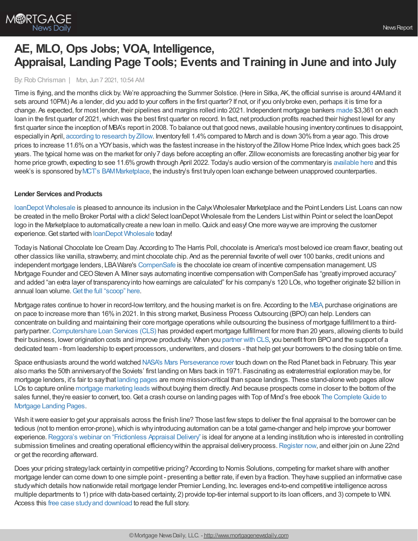

# **AE, MLO, Ops Jobs; VOA, Intelligence, Appraisal, Landing Page Tools; Events and Training in June and into July**

By:Rob Chrisman | Mon, Jun 7 2021, 10:54 AM

Time is flying, and the months click by. We're approaching the Summer Solstice. (Here in Sitka, AK, the official sunrise is around 4AMand it sets around 10PM.) As a lender, did you add to your coffers in the first quarter? If not, or if you only broke even, perhaps it is time for a change. As expected, for most lender, their pipelines and margins rolled into 2021. Independent mortgage bankers [made](https://newslink.mba.org/mba-newslinks/2021/june/mba-newslink-friday-june-4-2021/despite-quarterly-decline-imb-production-profits-post-record-1st-quarter/?utm_campaign=MBA%20NewsLink%20Friday%20June%204%202021&utm_medium=email&utm_source=Eloqua) \$3,361 on each loan in the first quarter of 2021, which was the best first quarter on record. In fact, net production profits reached their highest level for any first quarter since the inception of MBA's report in 2008. To balance out that good news, available housing inventorycontinues to disappoint, especially in April, [according](https://www.zillow.com/research/april-2021-market-report-29486/) to research by Zillow. Inventory fell 1.4% compared to March and is down 30% from a year ago. This drove prices to increase 11.6% on a YOY basis, which was the fastest increase in the history of the Zillow Home Price Index, which goes back 25 years. The typical home was on the market for only7 days before accepting an offer. Zilloweconomists are forecasting another big year for home price growth, expecting to see 11.6% growth through April 2022. Today's audio version of the commentary is [available](https://linktr.ee/dailymortgagenews) here and this week's is sponsored byMCT's [BAMMarketplace](https://mct-trading.com/bam-marketplace-loan-exchange/?utm_source=Chrisman%20Blurb&utm_medium=Email&utm_campaign=BAM%20Marketplace%20Podcast), the industry's first trulyopen loan exchange between unapproved counterparties.

### **Lender Services and Products**

loanDepot [Wholesale](https://nam02.safelinks.protection.outlook.com/?url=http%253A%252F%252Fwww.ldwholesale.com%252F&data=04%257C01%257CCMeyers%2540LDWholesale.com%257Caf07318dea05435b5acb08d9260e35c9%257C19479f888eac45d2a1bf69d33854a3fa%257C0%257C0%257C637582664739035704%257CUnknown%257CTWFpbGZsb3d8eyJWIjoiMC4wLjAwMDAiLCJQIjoiV2luMzIiLCJBTiI6Ik1haWwiLCJXVCI6Mn0%253D%257C1000&sdata=%252BJkPxakwABglZ7dSp9Ql%252Fecksu4Oe7i1WzlQ6ryPF%252BA%253D&reserved=0) is pleased to announce its inclusion in the CalyxWholesaler Marketplace and the Point Lenders List. Loans can now be created in the mello Broker Portal with a click! Select loanDepot Wholesale from the Lenders Listwithin Point or select the loanDepot logo in the Marketplace to automatically create a new loan in mello. Quick and easy! One more way we are improving the customer experience.Get started with loanDepot [Wholesale](https://www.ldwholesale.com/getapproved) today!

Todayis National Chocolate Ice Cream Day. According to The Harris Poll, chocolate is America's most beloved ice cream flavor, beating out other classics like vanilla, strawberry, and mint chocolate chip. And as the perennial favorite ofwell over 100 banks, credit unions and independent mortgage lenders, LBAWare's [CompenSafe](https://bit.ly/2SUrvjG) is the chocolate ice cream of incentive compensation management.US Mortgage Founder and CEOSteven A. Milner says automating incentive compensation with CompenSafe has "greatlyimproved accuracy" and added "an extra layer of transparency into how earnings are calculated" for his company's 120 LOs, who together originate \$2 billion in annual loan volume. Get the full ["scoop"](https://bit.ly/3pj5QxC) here.

Mortgage rates continue to hover in record-lowterritory, and the housing market is on fire. According to the [MBA,](https://www.mba.org/2021-press-releases/april/mba-forecast-purchase-originations-on-pace-to-increase-16-percent-to-record-167-trillion-in-2021) purchase originations are on pace to increase more than 16%in 2021. In this strong market, Business Process Outsourcing (BPO) can help. Lenders can concentrate on building and maintaining their core mortgage operations while outsourcing the business of mortgage fulfillment to a thirdpartypartner.[Computershare](https://www.computershareloanservices.com/us/business/fulfillment/overview?utm_source=chrisman&utm_medium=newsletter&utm_campaign=june_fulfillment) Loan Services (CLS) has provided expert mortgage fulfillment for more than 20 years, allowing clients to build their business, lower origination costs and improve productivity. When you [partner](https://www.computershareloanservices.com/us/business/fulfillment/overview?utm_source=chrisman&utm_medium=newsletter&utm_campaign=june_fulfillment) with CLS, you benefit from BPOand the support of a dedicated team - from leadership to expert processors, underwriters, and closers - that help get your borrowers to the closing table on time.

Space enthusiasts around the world watched NASA's Mars [Perseverance](https://youtu.be/4czjS9h4Fpg) rover touch down on the Red Planet back in February. This year also marks the 50th anniversaryof the Soviets' first landing on Mars back in 1971. Fascinating as extraterrestrial exploration maybe, for mortgage lenders, it's fair to saythat [landing](https://www.topofmind.com/mortgage-landing-pages/?utm_campaign=Rob%20Chrisman&utm_source=ppc) pages are more mission-critical than space landings. These stand-alone web pages allow LOs to capture online mortgage [marketing](https://www.topofmind.com/mortgage-lead-generation/?utm_campaign=Rob%20Chrisman&utm_source=ppc) leads without buying them directly. And because prospects come in closer to the bottom of the sales funnel, they're easier to convert, too. Get a crash course on landing pages with Top of Mind's free ebook The Complete Guide to Mortgage Landing Pages.

Wish it were easier to get your appraisals across the finish line? Those last few steps to deliver the final appraisal to the borrower can be tedious (not to mention error-prone),which is whyintroducing automation can be a total game-changer and help improve your borrower experience. Reggora's webinar on ["Frictionless](https://go.reggora.com/l/692273/2021-06-04/qsdgq) Appraisal Delivery" is ideal for anyone at a lending institution who is interested in controlling submission timelines and creating operational efficiency within the appraisal delivery process. [Register](https://go.reggora.com/l/692273/2021-06-04/qsdgq) now, and either join on June 22nd or get the recording afterward.

Does your pricing strategylack certaintyin competitive pricing? According to Nomis Solutions, competing for market share with another mortgage lender can come down to one simple point - presenting a better rate, if even bya fraction. Theyhave supplied an informative case studywhich details hownationwide retail mortgage lender Premier Lending, Inc. leverages end-to-end competitive intelligence across multiple departments to 1) price with data-based certainty, 2) provide top-tier internal support to its loan officers, and 3) compete to WIN. Access this free case studyand [download](https://www.nomissolutions.com/client-success-premier-lending-inc) to read the full story.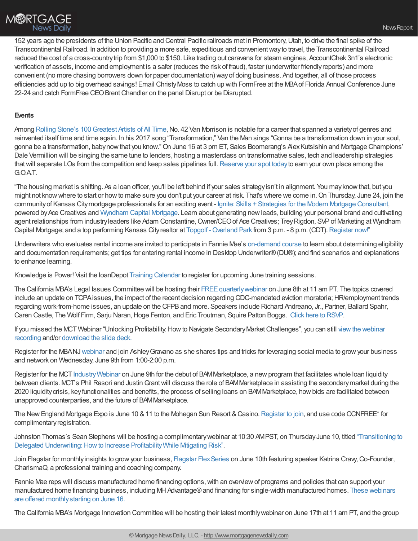152 years ago the presidents of the Union Pacific and Central Pacific railroads met in Promontory,Utah, to drive the final spike of the Transcontinental Railroad. In addition to providing a more safe, expeditious and convenientwayto travel, the Transcontinental Railroad reduced the cost of a cross-countrytrip from \$1,000 to \$150. Like trading out caravans for steam engines, AccountChek 3n1's electronic verification of assets, income and employment is a safer (reduces the risk of fraud), faster (underwriter friendlyreports) and more convenient (no more chasing borrowers down for paper documentation) wayof doing business. And together, all of those process efficiencies add up to big overhead savings! Email ChristyMoss to catch up with FormFree at the MBAof Florida Annual Conference June 22-24 and catch FormFree CEO Brent Chandler on the panel Disrupt or be Disrupted.

### **Events**

Among Rolling Stone's 100 Greatest Artists of All Time, No. 42 Van Morrison is notable for a career that spanned a variety of genres and reinvented itself time and time again. In his 2017 song "Transformation," Van the Man sings "Gonna be a transformation down in your soul, gonna be a transformation, babynowthat you know."On June 16 at 3 pm ET, Sales Boomerang's AlexKutsishin and Mortgage Champions' Dale Vermillion will be singing the same tune to lenders, hosting a masterclass on transformative sales, tech and leadership strategies that will separate LOs from the competition and keep sales pipelines full. [Reserve](https://hubs.ly/H0PyYgh0) your spot today to earn your own place among the G.O.AT.

"The housing market is shifting. As a loan officer, you'll be left behind if your sales strategyisn't in alignment. You mayknowthat, but you might not know where to start or how to make sure you don't put your career at risk. That's where we come in. On Thursday, June 24, join the communityof Kansas Citymortgage professionals for an exciting event - Ignite: Skills + Strategies for the Modern Mortgage [Consultant](https://www.eventbrite.com/e/ignite-skills-strategies-for-the-modern-mortgage-consultant-tickets-156548160763), powered by Ace Creatives and [Wyndham](https://wyndhamcapital.com/?utm_source=chrisman&utm_medium=paid_media&utm_campaign=ignitekc) Capital Mortgage. Learn about generating new leads, building your personal brand and cultivating agent relationships from industry leaders like Adam Constantine, Owner/CEO of Ace Creatives; Trey Rigdon, SVP of Marketing at Wyndham Capital Mortgage; and a top performing Kansas Cityrealtor at Topgolf - Overland Park from 3 p.m. - 8 p.m. (CDT). [Register](https://www.eventbrite.com/e/ignite-skills-strategies-for-the-modern-mortgage-consultant-tickets-156548160763) now!"

Underwriters who evaluates rental income are invited to participate in Fannie Mae's [on-demand](https://fanniemae.articulate-online.com/p/7778730389/DocumentViewRouter.ashx?Cust=77787&DocumentID=bb6d45b4-6beb-4f1a-a81b-cbf23f4d352b&Popped=True&InitialPage=/story_html5.html?utm_campaign=ppe-sf-ssn2021&utm_source=sfmc&utm_medium=email&utm_content=edu-eml-noa-eml06202021%20SSN-o-n&utm_term=b2b&v=10&) course to learn about determining eligibility and documentation requirements; get tips for entering rental income in Desktop Underwriter®(DU®); and find scenarios and explanations to enhance learning.

Knowledge is Power! Visit the loanDepot Training [Calendar](https://www.ldwholesale.com/ldwholesale-events_training-calendar) to register for upcoming June training sessions.

The California MBA's Legal Issues Committee will be hosting their FREE quarterly webinar on June 8th at 11 am PT. The topics covered include an update on TCPA issues, the impact of the recent decision regarding CDC-mandated eviction moratoria; HR/employment trends regarding work-from-home issues, an update on the CFPBand more. Speakers include Richard Andreano, Jr., Partner, Ballard Spahr, Caren Castle, The Wolf Firm, Sarju Naran, Hoge Fenton, and Eric Troutman, Squire Patton Boggs. Click here to [RSVP](https://attendee.gotowebinar.com/register/6368419042130285839).

If you missed the MCT Webinar "Unlocking Profitability. How to Navigate Secondary Market Challenges", you can still view the webinar recording and/or [download](https://na01.safelinks.protection.outlook.com/?url=https%253A%252F%252Fmct-trading.us11.list-manage.com%252Ftrack%252Fclick%253Fu%253D6d306036c17f619a8af7173a5%2526id%253Da8407ec725%2526e%253D932a02cc53&data=04%257C01%257C%257C6d3ccf42683a4a1d42d708d9276d152e%257C84df9e7fe9f640afb435aaaaaaaaaaaa%257C1%257C0%257C637584171720595042%257CUnknown%257CTWFpbGZsb3d8eyJWIjoiMC4wLjAwMDAiLCJQIjoiV2luMzIiLCJBTiI6Ik1haWwiLCJXVCI6Mn0%253D%257C1000&sdata=CZKaewCwo2R1qXbFiccq3NVhfOIaevA89q83BrZ9uFU%253D&reserved=0) the slide deck.

Register for the MBANJ[webinar](https://pheedloop.com/AshleyGravanowebinar/site/home/) and join AshleyGravano as she shares tips and tricks for leveraging social media to growyour business and network on Wednesday, June 9th from 1:00-2:00 p.m.

Register for the MCT Industry Webinar on June 9th for the debut of BAM Marketplace, a new program that facilitates whole loan liquidity between clients. MCT's Phil Rasori and Justin Grant will discuss the role of BAMMarketplace in assisting the secondary market during the 2020 liquiditycrisis, keyfunctionalities and benefits, the process of selling loans on BAMMarketplace, howbids are facilitated between unapproved counterparties, and the future of BAMMarketplace.

The New England Mortgage Expo is June 10 & 11 to the Mohegan Sun Resort & Casino. [Register](https://originatorconnect.eventsmart.com/events/new-england-mortgage-expo-2021/) to join, and use code OCNFREE\* for complimentary registration.

Johnston Thomas's Sean Stephens will be hosting a [complimentarywebinar](https://attendee.gotowebinar.com/register/4603027779182402828) at 10:30 AMPST, on ThursdayJune 10, titled "Transitioning to Delegated Underwriting: How to Increase Profitability While Mitigating Risk".

Join Flagstar for monthly insights to grow your business, Flagstar Flex Series on June 10th featuring speaker Katrina Cravy, Co-Founder, CharismaQ, a professional training and coaching company.

Fannie Mae reps will discuss manufactured home financing options, with an overview of programs and policies that can support your manufactured home financing business, including [MHAdvantage®and](https://fnmaevents.webex.com/mw3300/mywebex/default.do?nomenu=true&siteurl=fnmaevents&service=6&rnd=0.048680267073775374&main_url=https%253A%252F%252Ffnmaevents.webex.com%252Fec3300%252Feventcenter%252Fprogram%252FprogramDetail.do%253FtheAction%253Ddetail%2526internalProgramTicket%253D4832534b000000048db19ba22e41d3f70c729c9a77e0ddd8b2387ca703c9fc014f850dc8a4cff744%2526siteurl%253Dfnmaevents%2526internalProgramTicketUnList%253D4832534b000000048db19ba22e41d3f70c729c9a77e0ddd8b2387ca703c9fc014f850dc8a4cff744%2526cProgViewID%253D6870972%2526PRID%253Dc6aafe2260db03d221f289d1853bea57) financing for single-width manufactured homes. These webinars are offered monthlystarting on June 16.

The California MBA's Mortgage Innovation Committee will be hosting their latest monthlywebinar on June 17th at 11 am PT, and the group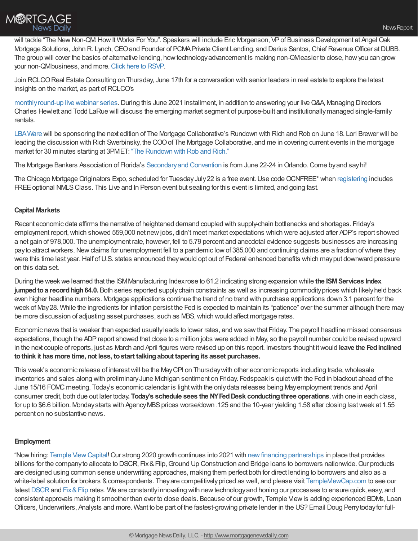



will tackle "The New Non-QM: How It Works For You". Speakers will include Eric Morgenson, VP of Business Development at Angel Oak Mortgage Solutions, John R. Lynch, CEO and Founder of PCMA Private Client Lending, and Darius Santos, Chief Revenue Officer at DUBB. The group will cover the basics of alternative lending, howtechnologyadvancement Is making non-QMeasier to close, howyou can grow your non-QMbusiness, and more. Click here to [RSVP](https://attendee.gotowebinar.com/register/571206601623135756).

Join RCLCOReal Estate Consulting on Thursday, June 17th for a conversation with senior leaders in real estate to explore the latest insights on the market, as part of RCLCO's

monthly round-up live webinar series. During this June 2021 installment, in addition to answering your live Q&A, Managing Directors Charles Hewlett and Todd LaRue will discuss the emerging market segment of purpose-built and institutionallymanaged single-family rentals.

[LBAWare](https://www.lbaware.com/) will be sponsoring the next edition of The Mortgage Collaborative's Rundown with Rich and Rob on June 18. Lori Brewer will be leading the discussion with Rich Swerbinsky, the COOof The Mortgage Collaborative, and me in covering current events in the mortgage market for 30 minutes starting at 3PMET: "The [Rundown](https://mtgcoop.zoom.us/webinar/register/WN_hOUDEqURT9m3mhKCJWRM-A) with Rob and Rich."

The Mortgage Bankers Association of Florida's Secondary and Convention is from June 22-24 in Orlando. Come by and say hi!

The Chicago Mortgage Originators Expo, scheduled for Tuesday July 22 is a free event. Use code OCNFREE\* when [registering](https://www.originatorconnectnetwork.com/events/chicago-mortgage-originators-expo#home) includes FREE optional NMLS Class. This Live and In Person event but seating for this event is limited, and going fast.

## **Capital Markets**

Recent economic data affirms the narrative of heightened demand coupled with supply-chain bottlenecks and shortages. Friday's employment report,which showed 559,000 net newjobs, didn't meet market expectations which were adjusted after ADP's report showed a net gain of 978,000. The unemployment rate, however, fell to 5.79 percent and anecdotal evidence suggests businesses are increasing pay to attract workers. New claims for unemployment fell to a pandemic low of 385,000 and continuing claims are a fraction of where they were this time last year.Half ofU.S. states announced theywould opt out of Federal enhanced benefits which mayput downward pressure on this data set.

During the weekwe learned that the ISMManufacturing Indexrose to 61.2 indicating strong expansion while **the ISMServices Index jumped to a record high 64.0.** Both series reported supply chain constraints as well as increasing commodity prices which likely held back even higher headline numbers. Mortgage applications continue the trend of no trend with purchase applications down 3.1 percent for the week of May28. While the ingredients for inflation persist the Fed is expected to maintain its "patience" over the summer although there may be more discussion of adjusting asset purchases, such as MBS, which would affect mortgage rates.

Economic news that is weaker than expected usuallyleads to lower rates, and we sawthat Friday. The payroll headline missed consensus expectations, though the ADPreport showed that close to a million jobs were added in May, so the payroll number could be revised upward in the next couple of reports, just as March and April figures were revised up on this report. Investors thought itwould **leave the Fedinclined tothink it has more time, not less, tostart talkingabout taperingits asset purchases.**

This week's economic release of interestwill be the MayCPI on Thursdaywith other economic reports including trade,wholesale inventories and sales along with preliminary June Michigan sentiment on Friday. Fedspeak is quiet with the Fed in blackout ahead of the June 15/16 FOMC meeting. Today's economic calendar is lightwith the onlydata releases being Mayemployment trends and April consumer credit, both due out later today**. Today's schedule sees the NYFedDesk conductingthree operations**,with one in each class, for up to \$6.6 billion. Monday starts with Agency MBS prices worse/down .125 and the 10-year yielding 1.58 after closing last week at 1.55 percent on no substantive news.

# **Employment**

"Nowhiring: Temple [ViewCapital!](http://templeviewcap.com/)Our strong 2020 growth continues into 2021 with [newfinancing](https://www.templeviewcap.com/blog/temple-view-capital-expands-capital-base-by-1b) partnerships in place that provides billions for the company to allocate to DSCR, Fix & Flip, Ground Up Construction and Bridge loans to borrowers nationwide. Our products are designed using common sense underwriting approaches, making them perfect both for direct lending to borrowers and also as a white-label solution for brokers & correspondents. They are competitively priced as well, and please visit [TempleViewCap.com](http://templeviewcap.com/) to see our latest [DSCR](https://www.templeviewcap.com/programs/rental-loans) and Fix & Flip rates. We are constantly innovating with new technology and honing our processes to ensure quick, easy, and consistent approvals making it smoother than ever to close deals. Because of our growth, Temple Viewis adding experienced BDMs, Loan Officers, Underwriters, Analysts and more. Want to be part of the fastest-growing private lender in the US? Email Doug Perry today for full-